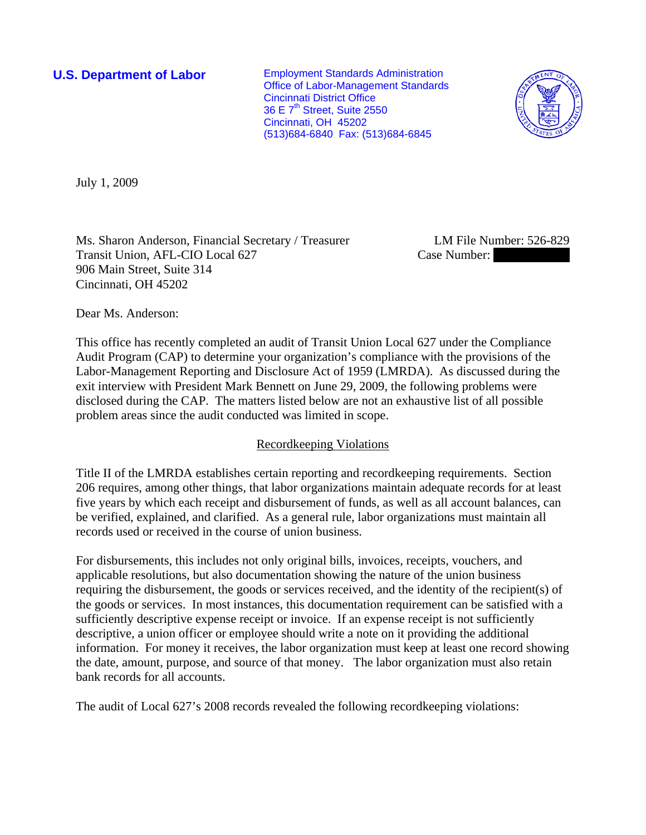Office of Labor-Management Standards 36 E  $7<sup>th</sup>$  Street, Suite 2550 (513)684-6840 Fax: (513)684-6845 **U.S. Department of Labor** Employment Standards Administration Cincinnati District Office Cincinnati, OH 45202



<span id="page-0-0"></span>July 1, 2009

[Ms.](#page-0-0) [Sharon](#page-0-0) [Anderson, Financial Secretary / Treasurer LM File Number: 5](#page-0-0)26-829 [Transit Union, AFL-CIO](#page-0-0) Lo [906 Main Street, Suite](#page-0-0) 314 [Cincinnati, OH 45202](#page-0-0) 

Case Number:

Dear Ms. Anderson:

This office has recently completed an audit of [Transit Union Local 627](#page-0-0) under the Compliance Audit Program (CAP) to determine your organization's compliance with the provisions of the Labor-Management Reporting and Disclosure Act of 1959 (LMRDA). As discussed during the exit interview with [President Mark Bennett](#page-0-0) on [June 29, 2009,](#page-0-0) the following problems were disclosed during the CAP. The matters listed below are not an exhaustive list of all possible problem areas since the audit conducted was limited in scope.

# Recordkeeping Violations

Title II of the LMRDA establishes certain reporting and recordkeeping requirements. Section 206 requires, among other things, that labor organizations maintain adequate records for at least five years by which each receipt and disbursement of funds, as well as all account balances, can be verified, explained, and clarified. As a general rule, labor organizations must maintain all records used or received in the course of union business.

For disbursements, this includes not only original bills, invoices, receipts, vouchers, and applicable resolutions, but also documentation showing the nature of the union business requiring the disbursement, the goods or services received, and the identity of the recipient(s) of the goods or services. In most instances, this documentation requirement can be satisfied with a sufficiently descriptive expense receipt or invoice. If an expense receipt is not sufficiently descriptive, a union officer or employee should write a note on it providing the additional information. For money it receives, the labor organization must keep at least one record showing the date, amount, purpose, and source of that money. The labor organization must also retain bank records for all accounts.

The audit of Local 627's 2008 records revealed the following recordkeeping violations: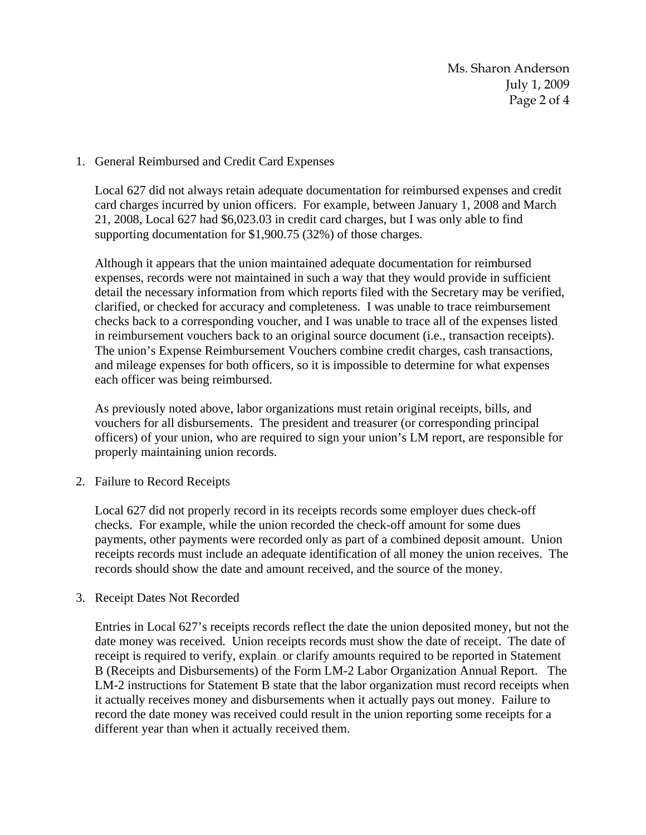Ms. Sharon Anderson July 1, 2009 Page 2 of 4

## 1. General Reimbursed and Credit Card Expenses

 Local 627 did not always retain adequate documentation for reimbursed expenses and credit card charges incurred by union officers. For example, between January 1, 2008 and March 21, 2008, Local 627 had \$6,023.03 in credit card charges, but I was only able to find supporting documentation for \$1,900.75 (32%) of those charges.

 Although it appears that the union maintained adequate documentation for reimbursed expenses, records were not maintained in such a way that they would provide in sufficient detail the necessary information from which reports filed with the Secretary may be verified, clarified, or checked for accuracy and completeness. I was unable to trace reimbursement checks back to a corresponding voucher, and I was unable to trace all of the expenses listed in reimbursement vouchers back to an original source document (i.e., transaction receipts). The union's Expense Reimbursement Vouchers combine credit charges, cash transactions, and mileage expenses for both officers, so it is impossible to determine for what expenses each officer was being reimbursed.

 As previously noted above, labor organizations must retain original receipts, bills, and vouchers for all disbursements. The president and treasurer (or corresponding principal officers) of your union, who are required to sign your union's LM report, are responsible for properly maintaining union records.

2. Failure to Record Receipts

Local 627 did not properly record in its receipts records some employer dues check-off checks. For example, while the union recorded the check-off amount for some dues payments, other payments were recorded only as part of a combined deposit amount. Union receipts records must include an adequate identification of all money the union receives. The records should show the date and amount received, and the source of the money.

3. Receipt Dates Not Recorded

Entries in Local 627's receipts records reflect the date the union deposited money, but not the date money was received. Union receipts records must show the date of receipt. The date of receipt is required to verify, explain, or clarify amounts required to be reported in Statement B (Receipts and Disbursements) of the Form LM-2 Labor Organization Annual Report. The LM-2 instructions for Statement B state that the labor organization must record receipts when it actually receives money and disbursements when it actually pays out money. Failure to record the date money was received could result in the union reporting some receipts for a different year than when it actually received them.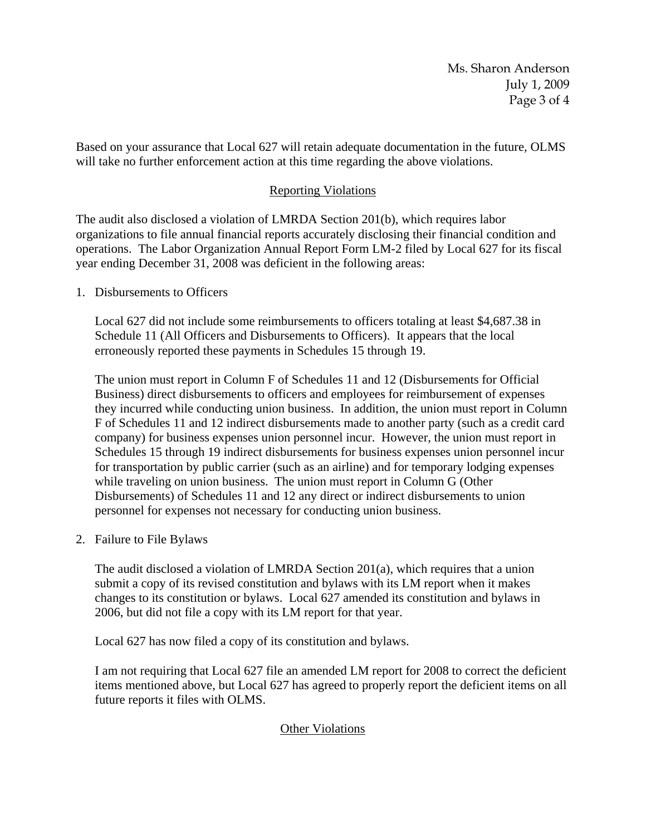Ms. Sharon Anderson July 1, 2009 Page 3 of 4

Based on your assurance that Local 627 will retain adequate documentation in the future, OLMS will take no further enforcement action at this time regarding the above violations.

# Reporting Violations

The audit also disclosed a violation of LMRDA Section 201(b), which requires labor organizations to file annual financial reports accurately disclosing their financial condition and operations. The Labor Organization Annual Report Form LM-2 filed by Local 627 for its fiscal year ending December 31, 2008 was deficient in the following areas:

1. Disbursements to Officers

Local 627 did not include some reimbursements to officers totaling at least \$4,687.38 in Schedule 11 (All Officers and Disbursements to Officers). It appears that the local erroneously reported these payments in Schedules 15 through 19.

The union must report in Column F of Schedules 11 and 12 (Disbursements for Official Business) direct disbursements to officers and employees for reimbursement of expenses they incurred while conducting union business. In addition, the union must report in Column F of Schedules 11 and 12 indirect disbursements made to another party (such as a credit card company) for business expenses union personnel incur. However, the union must report in Schedules 15 through 19 indirect disbursements for business expenses union personnel incur for transportation by public carrier (such as an airline) and for temporary lodging expenses while traveling on union business. The union must report in Column G (Other Disbursements) of Schedules 11 and 12 any direct or indirect disbursements to union personnel for expenses not necessary for conducting union business.

2. Failure to File Bylaws

The audit disclosed a violation of LMRDA Section 201(a), which requires that a union submit a copy of its revised constitution and bylaws with its LM report when it makes changes to its constitution or bylaws. Local 627 amended its constitution and bylaws in 2006, but did not file a copy with its LM report for that year.

Local 627 has now filed a copy of its constitution and bylaws.

I am not requiring that Local 627 file an amended LM report for 2008 to correct the deficient items mentioned above, but Local 627 has agreed to properly report the deficient items on all future reports it files with OLMS.

### Other Violations